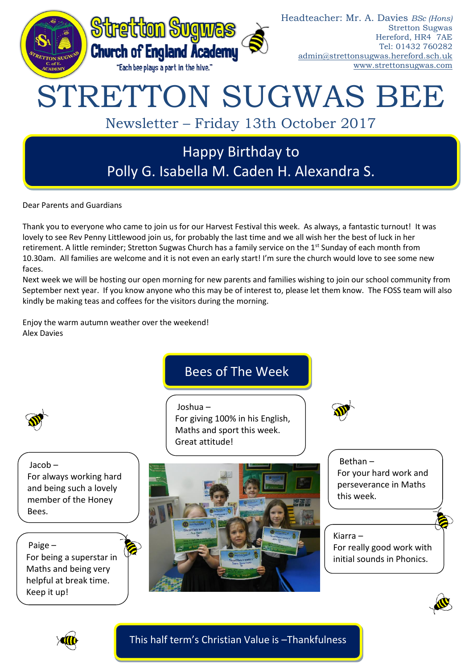

Dear Parents and Guardians

Thank you to everyone who came to join us for our Harvest Festival this week. As always, a fantastic turnout! It was lovely to see Rev Penny Littlewood join us, for probably the last time and we all wish her the best of luck in her retirement. A little reminder; Stretton Sugwas Church has a family service on the 1<sup>st</sup> Sunday of each month from 10.30am. All families are welcome and it is not even an early start! I'm sure the church would love to see some new faces.

Next week we will be hosting our open morning for new parents and families wishing to join our school community from September next year. If you know anyone who this may be of interest to, please let them know. The FOSS team will also kindly be making teas and coffees for the visitors during the morning.

Enjoy the warm autumn weather over the weekend! Alex Davies

# Bees of The Week

Joshua – For giving 100% in his English, Maths and sport this week. Great attitude!



Jacob – For always working hard and being such a lovely member of the Honey Bees.

Paige – For being a superstar in Maths and being very helpful at break time. Keep it up!



Bethan – For your hard work and perseverance in Maths this week.

Kiarra – For really good work with initial sounds in Phonics.